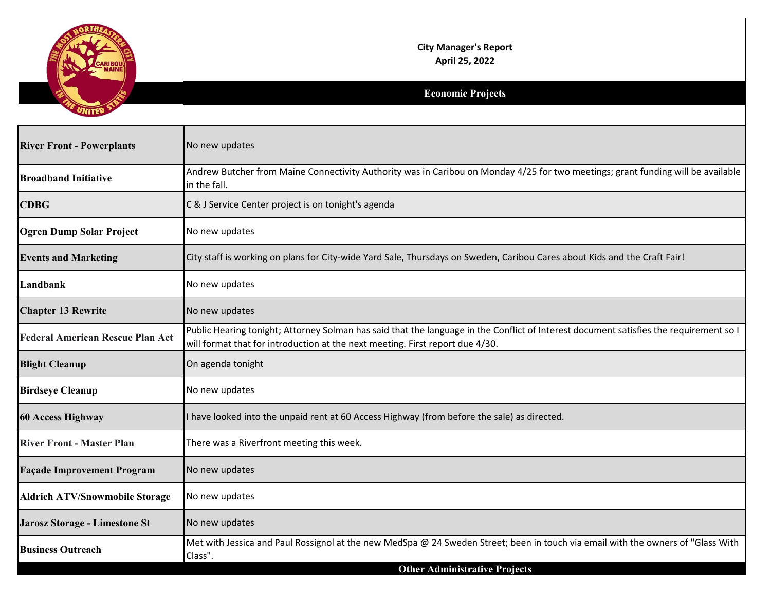

## **City Manager's Report April 25, 2022**

## **Economic Projects**

| <b>River Front - Powerplants</b>        | No new updates                                                                                                                                                                                                          |
|-----------------------------------------|-------------------------------------------------------------------------------------------------------------------------------------------------------------------------------------------------------------------------|
| <b>Broadband Initiative</b>             | Andrew Butcher from Maine Connectivity Authority was in Caribou on Monday 4/25 for two meetings; grant funding will be available<br>in the fall.                                                                        |
| <b>CDBG</b>                             | C & J Service Center project is on tonight's agenda                                                                                                                                                                     |
| <b>Ogren Dump Solar Project</b>         | No new updates                                                                                                                                                                                                          |
| <b>Events and Marketing</b>             | City staff is working on plans for City-wide Yard Sale, Thursdays on Sweden, Caribou Cares about Kids and the Craft Fair!                                                                                               |
| Landbank                                | No new updates                                                                                                                                                                                                          |
| <b>Chapter 13 Rewrite</b>               | No new updates                                                                                                                                                                                                          |
| <b>Federal American Rescue Plan Act</b> | Public Hearing tonight; Attorney Solman has said that the language in the Conflict of Interest document satisfies the requirement so I<br>will format that for introduction at the next meeting. First report due 4/30. |
| <b>Blight Cleanup</b>                   | On agenda tonight                                                                                                                                                                                                       |
| <b>Birdseye Cleanup</b>                 | No new updates                                                                                                                                                                                                          |
| <b>60 Access Highway</b>                | I have looked into the unpaid rent at 60 Access Highway (from before the sale) as directed.                                                                                                                             |
| <b>River Front - Master Plan</b>        | There was a Riverfront meeting this week.                                                                                                                                                                               |
| <b>Façade Improvement Program</b>       | No new updates                                                                                                                                                                                                          |
| <b>Aldrich ATV/Snowmobile Storage</b>   | No new updates                                                                                                                                                                                                          |
| Jarosz Storage - Limestone St           | No new updates                                                                                                                                                                                                          |
| <b>Business Outreach</b>                | Met with Jessica and Paul Rossignol at the new MedSpa @ 24 Sweden Street; been in touch via email with the owners of "Glass With<br>Class".                                                                             |
|                                         | <b>Other Administrative Projects</b>                                                                                                                                                                                    |